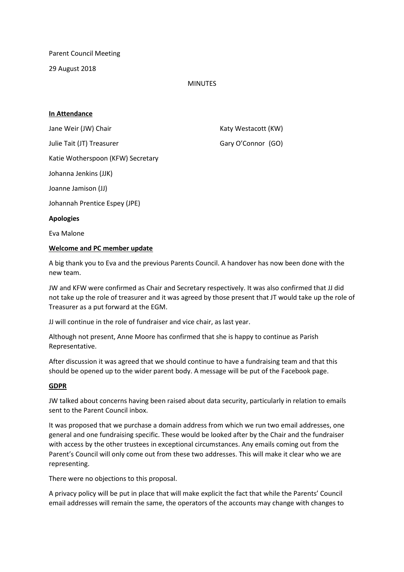Parent Council Meeting

29 August 2018

### MINUTES

### **In Attendance**

Jane Weir (JW) Chair **Katy Westacott** (KW) Julie Tait (JT) Treasurer Gary O'Connor (GO) Katie Wotherspoon (KFW) Secretary Johanna Jenkins (JJK) Joanne Jamison (JJ) Johannah Prentice Espey (JPE) **Apologies** Eva Malone

### **Welcome and PC member update**

A big thank you to Eva and the previous Parents Council. A handover has now been done with the new team.

JW and KFW were confirmed as Chair and Secretary respectively. It was also confirmed that JJ did not take up the role of treasurer and it was agreed by those present that JT would take up the role of Treasurer as a put forward at the EGM.

JJ will continue in the role of fundraiser and vice chair, as last year.

Although not present, Anne Moore has confirmed that she is happy to continue as Parish Representative.

After discussion it was agreed that we should continue to have a fundraising team and that this should be opened up to the wider parent body. A message will be put of the Facebook page.

### **GDPR**

JW talked about concerns having been raised about data security, particularly in relation to emails sent to the Parent Council inbox.

It was proposed that we purchase a domain address from which we run two email addresses, one general and one fundraising specific. These would be looked after by the Chair and the fundraiser with access by the other trustees in exceptional circumstances. Any emails coming out from the Parent's Council will only come out from these two addresses. This will make it clear who we are representing.

There were no objections to this proposal.

A privacy policy will be put in place that will make explicit the fact that while the Parents' Council email addresses will remain the same, the operators of the accounts may change with changes to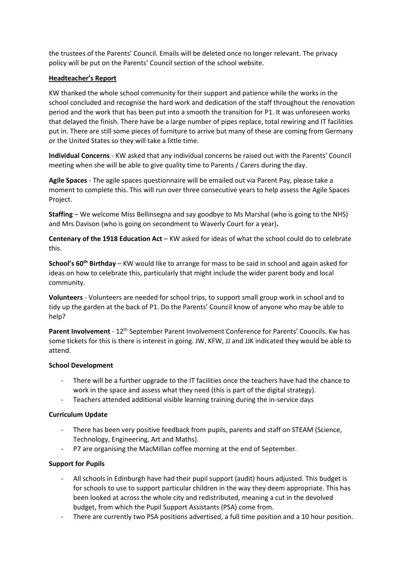the trustees of the Parents' Council. Emails will be deleted once no longer relevant. The privacy policy will be put on the Parents' Council section of the school website.

# **Headteacher's Report**

KW thanked the whole school community for their support and patience while the works in the school concluded and recognise the hard work and dedication of the staff throughout the renovation period and the work that has been put into a smooth the transition for P1. It was unforeseen works that delayed the finish. There have be a large number of pipes replace, total rewiring and IT facilities put in. There are still some pieces of furniture to arrive but many of these are coming from Germany or the United States so they will take a little time.

**Individual Concerns** - KW asked that any individual concerns be raised out with the Parents' Council meeting when she will be able to give quality time to Parents / Carers during the day.

**Agile Spaces** - The agile spaces questionnaire will be emailed out via Parent Pay, please take a moment to complete this. This will run over three consecutive years to help assess the Agile Spaces Project.

**Staffing** – We welcome Miss Bellinsegna and say goodbye to Ms Marshal (who is going to the NHS) and Mrs Davison (who is going on secondment to Waverly Court for a year)**.**

**Centenary of the 1918 Education Act** – KW asked for ideas of what the school could do to celebrate this.

**School's 60th Birthday** – KW would like to arrange for mass to be said in school and again asked for ideas on how to celebrate this, particularly that might include the wider parent body and local community.

**Volunteers** - Volunteers are needed for school trips, to support small group work in school and to tidy up the garden at the back of P1. Do the Parents' Council know of anyone who may be able to help?

**Parent Involvement** - 12th September Parent Involvement Conference for Parents' Councils. Kw has some tickets for this is there is interest in going. JW, KFW, JJ and JJK indicated they would be able to attend.

#### **School Development**

- There will be a further upgrade to the IT facilities once the teachers have had the chance to work in the space and assess what they need (this is part of the digital strategy).
- Teachers attended additional visible learning training during the in-service days

#### **Curriculum Update**

- There has been very positive feedback from pupils, parents and staff on STEAM (Science, Technology, Engineering, Art and Maths).
- P7 are organising the MacMillan coffee morning at the end of September.

# **Support for Pupils**

- All schools in Edinburgh have had their pupil support (audit) hours adjusted. This budget is for schools to use to support particular children in the way they deem appropriate. This has been looked at across the whole city and redistributed, meaning a cut in the devolved budget, from which the Pupil Support Assistants (PSA) come from.
- There are currently two PSA positions advertised, a full time position and a 10 hour position.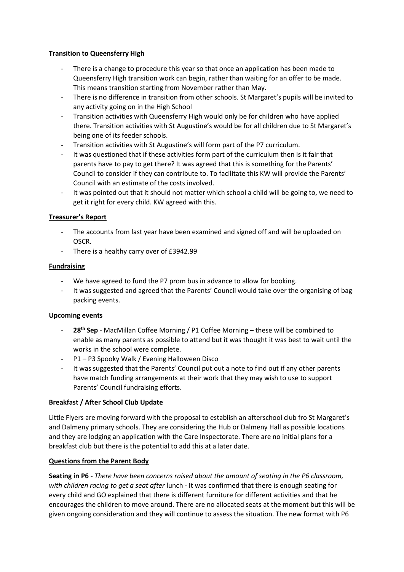### **Transition to Queensferry High**

- There is a change to procedure this year so that once an application has been made to Queensferry High transition work can begin, rather than waiting for an offer to be made. This means transition starting from November rather than May.
- There is no difference in transition from other schools. St Margaret's pupils will be invited to any activity going on in the High School
- Transition activities with Queensferry High would only be for children who have applied there. Transition activities with St Augustine's would be for all children due to St Margaret's being one of its feeder schools.
- Transition activities with St Augustine's will form part of the P7 curriculum.
- It was questioned that if these activities form part of the curriculum then is it fair that parents have to pay to get there? It was agreed that this is something for the Parents' Council to consider if they can contribute to. To facilitate this KW will provide the Parents' Council with an estimate of the costs involved.
- It was pointed out that it should not matter which school a child will be going to, we need to get it right for every child. KW agreed with this.

# **Treasurer's Report**

- The accounts from last year have been examined and signed off and will be uploaded on OSCR.
- There is a healthy carry over of £3942.99

### **Fundraising**

- We have agreed to fund the P7 prom bus in advance to allow for booking.
- It was suggested and agreed that the Parents' Council would take over the organising of bag packing events.

#### **Upcoming events**

- 28<sup>th</sup> Sep MacMillan Coffee Morning / P1 Coffee Morning these will be combined to enable as many parents as possible to attend but it was thought it was best to wait until the works in the school were complete.
- P1 P3 Spooky Walk / Evening Halloween Disco
- It was suggested that the Parents' Council put out a note to find out if any other parents have match funding arrangements at their work that they may wish to use to support Parents' Council fundraising efforts.

#### **Breakfast / After School Club Update**

Little Flyers are moving forward with the proposal to establish an afterschool club fro St Margaret's and Dalmeny primary schools. They are considering the Hub or Dalmeny Hall as possible locations and they are lodging an application with the Care Inspectorate. There are no initial plans for a breakfast club but there is the potential to add this at a later date.

#### **Questions from the Parent Body**

**Seating in P6** - *There have been concerns raised about the amount of seating in the P6 classroom, with children racing to get a seat after* lunch - It was confirmed that there is enough seating for every child and GO explained that there is different furniture for different activities and that he encourages the children to move around. There are no allocated seats at the moment but this will be given ongoing consideration and they will continue to assess the situation. The new format with P6